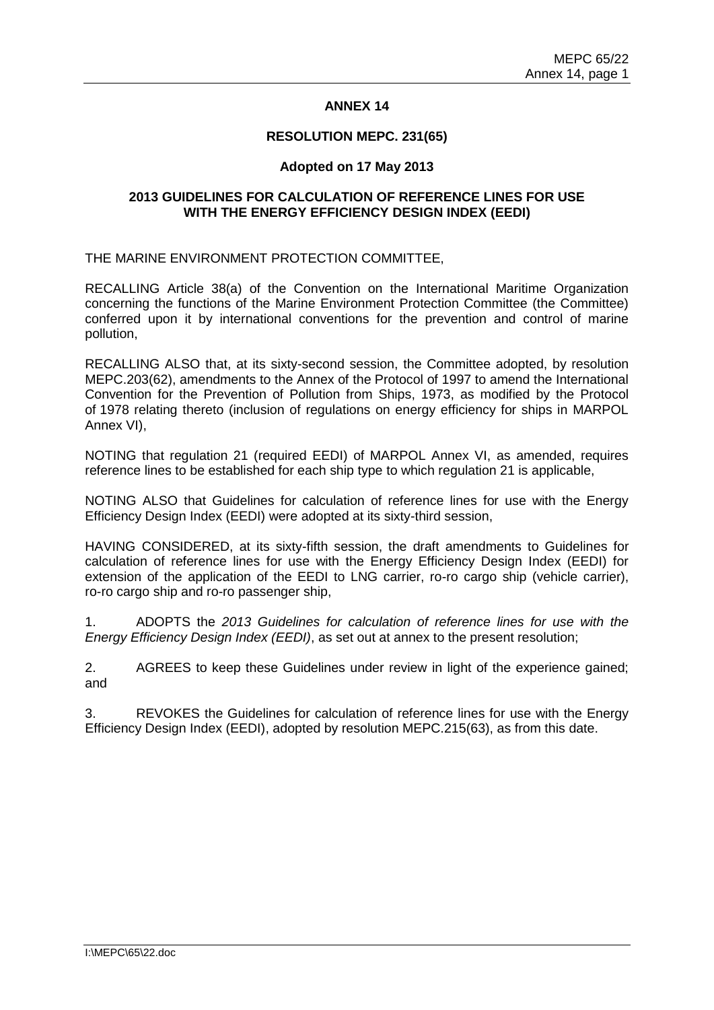## **ANNEX 14**

#### **RESOLUTION MEPC. 231(65)**

#### **Adopted on 17 May 2013**

#### **2013 GUIDELINES FOR CALCULATION OF REFERENCE LINES FOR USE WITH THE ENERGY EFFICIENCY DESIGN INDEX (EEDI)**

THE MARINE ENVIRONMENT PROTECTION COMMITTEE,

RECALLING Article 38(a) of the Convention on the International Maritime Organization concerning the functions of the Marine Environment Protection Committee (the Committee) conferred upon it by international conventions for the prevention and control of marine pollution,

RECALLING ALSO that, at its sixty-second session, the Committee adopted, by resolution MEPC.203(62), amendments to the Annex of the Protocol of 1997 to amend the International Convention for the Prevention of Pollution from Ships, 1973, as modified by the Protocol of 1978 relating thereto (inclusion of regulations on energy efficiency for ships in MARPOL Annex VI),

NOTING that regulation 21 (required EEDI) of MARPOL Annex VI, as amended, requires reference lines to be established for each ship type to which regulation 21 is applicable,

NOTING ALSO that Guidelines for calculation of reference lines for use with the Energy Efficiency Design Index (EEDI) were adopted at its sixty-third session,

HAVING CONSIDERED, at its sixty-fifth session, the draft amendments to Guidelines for calculation of reference lines for use with the Energy Efficiency Design Index (EEDI) for extension of the application of the EEDI to LNG carrier, ro-ro cargo ship (vehicle carrier), ro-ro cargo ship and ro-ro passenger ship,

1. ADOPTS the *2013 Guidelines for calculation of reference lines for use with the Energy Efficiency Design Index (EEDI)*, as set out at annex to the present resolution;

2. AGREES to keep these Guidelines under review in light of the experience gained; and

3. REVOKES the Guidelines for calculation of reference lines for use with the Energy Efficiency Design Index (EEDI), adopted by resolution MEPC.215(63), as from this date.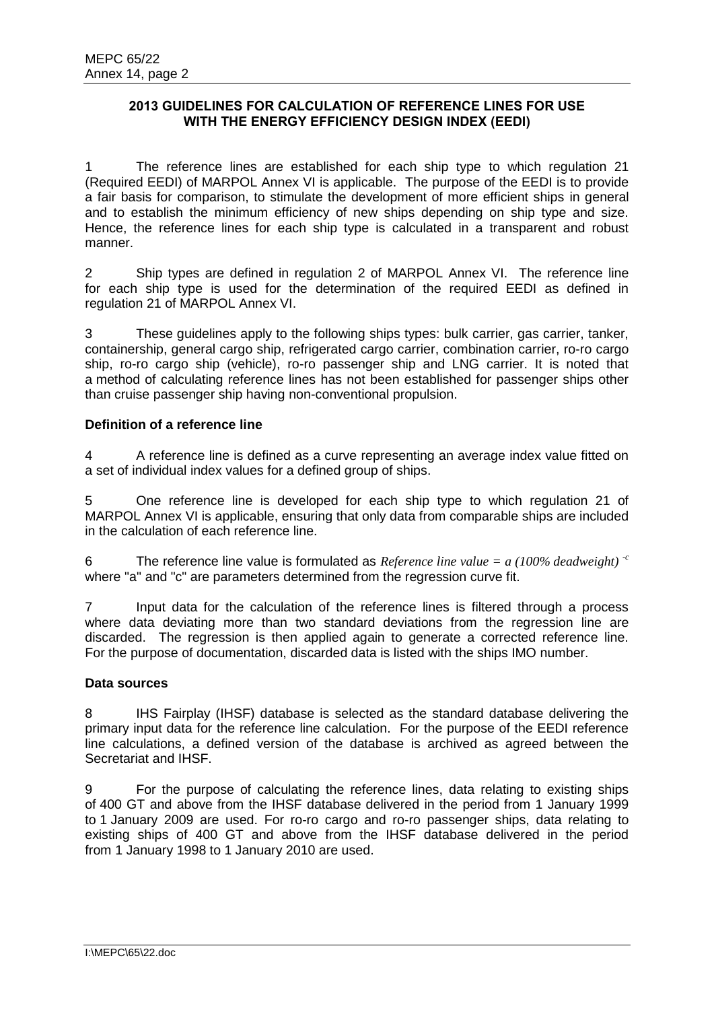# **2013 GUIDELINES FOR CALCULATION OF REFERENCE LINES FOR USE WITH THE ENERGY EFFICIENCY DESIGN INDEX (EEDI)**

1 The reference lines are established for each ship type to which regulation 21 (Required EEDI) of MARPOL Annex VI is applicable. The purpose of the EEDI is to provide a fair basis for comparison, to stimulate the development of more efficient ships in general and to establish the minimum efficiency of new ships depending on ship type and size. Hence, the reference lines for each ship type is calculated in a transparent and robust manner.

2 Ship types are defined in regulation 2 of MARPOL Annex VI. The reference line for each ship type is used for the determination of the required EEDI as defined in regulation 21 of MARPOL Annex VI.

3 These guidelines apply to the following ships types: bulk carrier, gas carrier, tanker, containership, general cargo ship, refrigerated cargo carrier, combination carrier, ro-ro cargo ship, ro-ro cargo ship (vehicle), ro-ro passenger ship and LNG carrier. It is noted that a method of calculating reference lines has not been established for passenger ships other than cruise passenger ship having non-conventional propulsion.

# **Definition of a reference line**

4 A reference line is defined as a curve representing an average index value fitted on a set of individual index values for a defined group of ships.

5 One reference line is developed for each ship type to which regulation 21 of MARPOL Annex VI is applicable, ensuring that only data from comparable ships are included in the calculation of each reference line.

6 The reference line value is formulated as *Reference line value = a (100% deadweight)*  $\epsilon$ <sup>c</sup> where "a" and "c" are parameters determined from the regression curve fit.

7 Input data for the calculation of the reference lines is filtered through a process where data deviating more than two standard deviations from the regression line are discarded. The regression is then applied again to generate a corrected reference line. For the purpose of documentation, discarded data is listed with the ships IMO number.

## **Data sources**

8 IHS Fairplay (IHSF) database is selected as the standard database delivering the primary input data for the reference line calculation. For the purpose of the EEDI reference line calculations, a defined version of the database is archived as agreed between the Secretariat and IHSF.

9 For the purpose of calculating the reference lines, data relating to existing ships of 400 GT and above from the IHSF database delivered in the period from 1 January 1999 to 1 January 2009 are used. For ro-ro cargo and ro-ro passenger ships, data relating to existing ships of 400 GT and above from the IHSF database delivered in the period from 1 January 1998 to 1 January 2010 are used.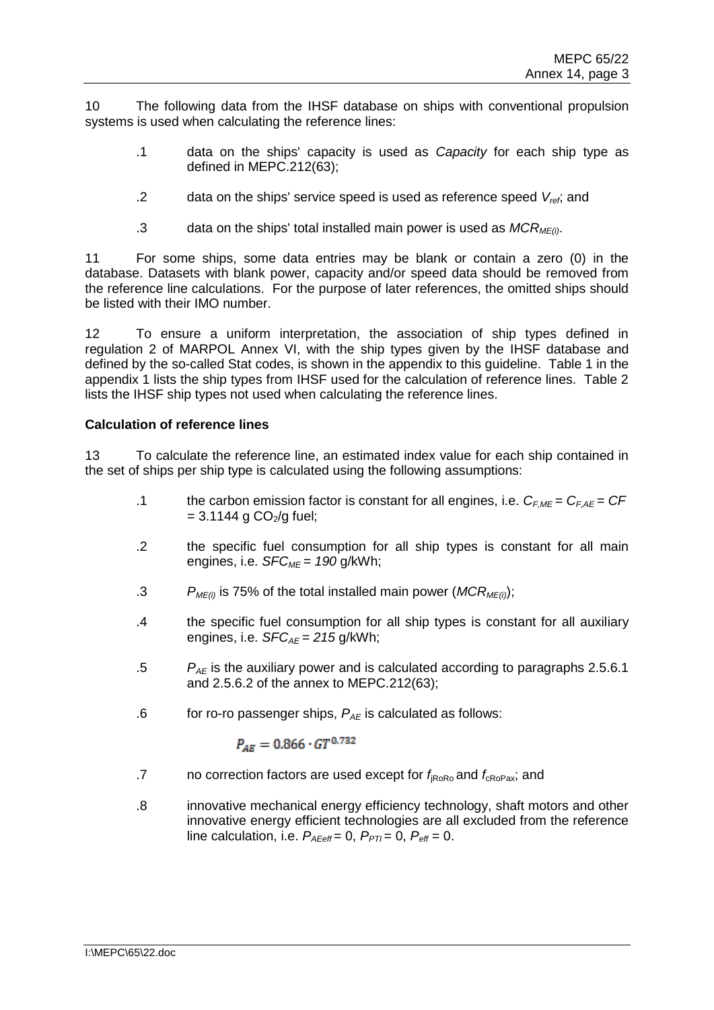10 The following data from the IHSF database on ships with conventional propulsion systems is used when calculating the reference lines:

- .1 data on the ships' capacity is used as *Capacity* for each ship type as defined in MEPC.212(63);
- .2 data on the ships' service speed is used as reference speed *Vref*; and
- .3 data on the ships' total installed main power is used as *MCRME(i)*.

11 For some ships, some data entries may be blank or contain a zero (0) in the database. Datasets with blank power, capacity and/or speed data should be removed from the reference line calculations. For the purpose of later references, the omitted ships should be listed with their IMO number.

12 To ensure a uniform interpretation, the association of ship types defined in regulation 2 of MARPOL Annex VI, with the ship types given by the IHSF database and defined by the so-called Stat codes, is shown in the appendix to this guideline. Table 1 in the appendix 1 lists the ship types from IHSF used for the calculation of reference lines. Table 2 lists the IHSF ship types not used when calculating the reference lines.

# **Calculation of reference lines**

13 To calculate the reference line, an estimated index value for each ship contained in the set of ships per ship type is calculated using the following assumptions:

- .1 the carbon emission factor is constant for all engines, i.e. *CF,ME = CF,AE = CF*   $= 3.1144$  g CO<sub>2</sub>/g fuel;
- .2 the specific fuel consumption for all ship types is constant for all main engines, i.e. *SFCME = 190* g/kWh;
- .3 *PME(i)* is 75% of the total installed main power (*MCRME(i)*);
- .4 the specific fuel consumption for all ship types is constant for all auxiliary engines, i.e. *SFCAE = 215* g/kWh;
- .5 *PAE* is the auxiliary power and is calculated according to paragraphs 2.5.6.1 and 2.5.6.2 of the annex to MEPC.212(63);
- .6 for ro-ro passenger ships,  $P_{AF}$  is calculated as follows:

$$
P_{AE} = 0.866 \cdot GT^{0.732}
$$

- .7 no correction factors are used except for  $f_{\text{RoRo}}$  and  $f_{\text{cRoPa}x}$ ; and
- .8 innovative mechanical energy efficiency technology, shaft motors and other innovative energy efficient technologies are all excluded from the reference line calculation, i.e.  $P_{A\text{Eeff}} = 0$ ,  $P_{PTI} = 0$ ,  $P_{\text{eff}} = 0$ .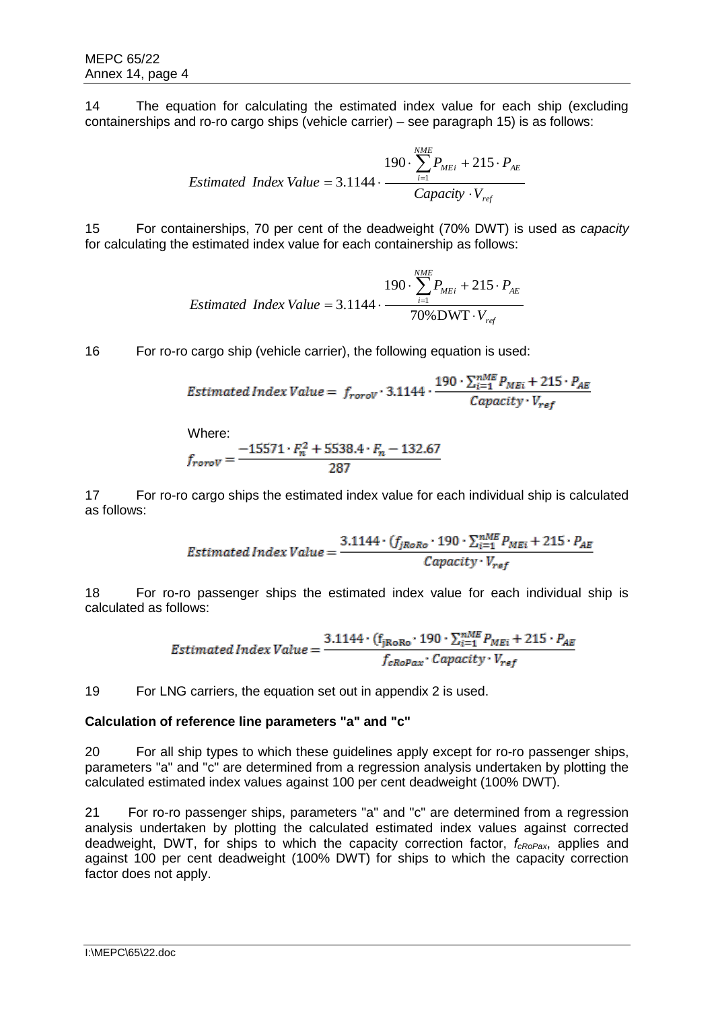14 The equation for calculating the estimated index value for each ship (excluding containerships and ro-ro cargo ships (vehicle carrier) – see paragraph 15) is as follows:

$$
190 \cdot \sum_{i=1}^{NME} P_{MEi} + 215 \cdot P_{AE}
$$
  
Estimated Index Value = 3.1144 · 
$$
\frac{Capacity \cdot V_{ref}}{Capacity \cdot V_{ref}}
$$

15 For containerships, 70 per cent of the deadweight (70% DWT) is used as *capacity* for calculating the estimated index value for each containership as follows:

$$
190 \cdot \sum_{i=1}^{NME} P_{MEi} + 215 \cdot P_{AE}
$$
  
Estimated Index Value = 3.1144 · 
$$
\frac{70\%DWT \cdot V_{ref}}{70\%DWT \cdot V_{ref}}
$$

16 For ro-ro cargo ship (vehicle carrier), the following equation is used:

$$
Estimated Index Value = f_{rorol} \cdot 3.1144 \cdot \frac{190 \cdot \sum_{i=1}^{nME} P_{MEi} + 215 \cdot P_{AE}}{Capacity \cdot V_{ref}}
$$

Where:

$$
f_{rorov} = \frac{-15571 \cdot F_n^2 + 5538.4 \cdot F_n - 132.67}{287}
$$

17 For ro-ro cargo ships the estimated index value for each individual ship is calculated as follows:

$$
Estimated Index Value = \frac{3.1144 \cdot (f_{jRoRo} \cdot 190 \cdot \sum_{i=1}^{nME} P_{MEi} + 215 \cdot P_{AE}}{Capacity \cdot V_{ref}}
$$

18 For ro-ro passenger ships the estimated index value for each individual ship is calculated as follows:

$$
Estimated Index Value = \frac{3.1144 \cdot (f_{jRoRo} \cdot 190 \cdot \sum_{i=1}^{nME} P_{MEi} + 215 \cdot P_{AE}}{f_{cRoPax} \cdot Capacity \cdot V_{ref}}
$$

19 For LNG carriers, the equation set out in appendix 2 is used.

## **Calculation of reference line parameters "a" and "c"**

20 For all ship types to which these guidelines apply except for ro-ro passenger ships, parameters "a" and "c" are determined from a regression analysis undertaken by plotting the calculated estimated index values against 100 per cent deadweight (100% DWT).

21 For ro-ro passenger ships, parameters "a" and "c" are determined from a regression analysis undertaken by plotting the calculated estimated index values against corrected deadweight, DWT, for ships to which the capacity correction factor, *fcRoPax*, applies and against 100 per cent deadweight (100% DWT) for ships to which the capacity correction factor does not apply.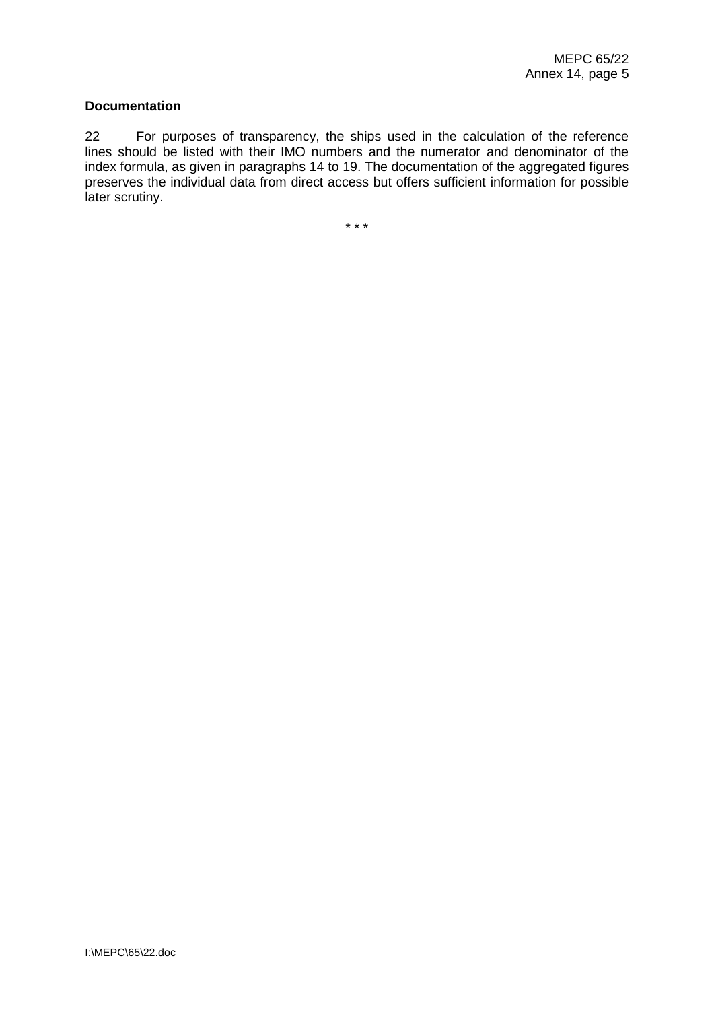#### **Documentation**

22 For purposes of transparency, the ships used in the calculation of the reference lines should be listed with their IMO numbers and the numerator and denominator of the index formula, as given in paragraphs 14 to 19. The documentation of the aggregated figures preserves the individual data from direct access but offers sufficient information for possible later scrutiny.

\* \* \*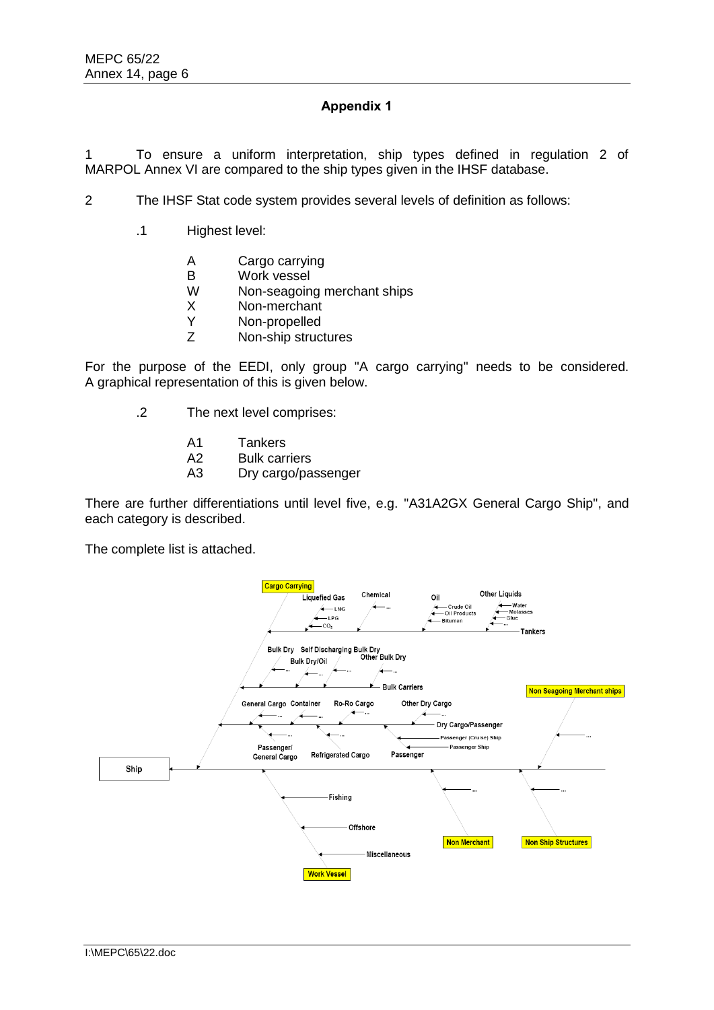# **Appendix 1**

1 To ensure a uniform interpretation, ship types defined in regulation 2 of MARPOL Annex VI are compared to the ship types given in the IHSF database.

2 The IHSF Stat code system provides several levels of definition as follows:

- .1 Highest level:
	- A Cargo carrying
	- B Work vessel
	- W Non-seagoing merchant ships
	- X Non-merchant
	- Y Non-propelled
	- Z Non-ship structures

For the purpose of the EEDI, only group "A cargo carrying" needs to be considered. A graphical representation of this is given below.

- .2 The next level comprises:
	- A1 Tankers
	- A2 Bulk carriers
	- A3 Dry cargo/passenger

There are further differentiations until level five, e.g. "A31A2GX General Cargo Ship", and each category is described.

The complete list is attached.

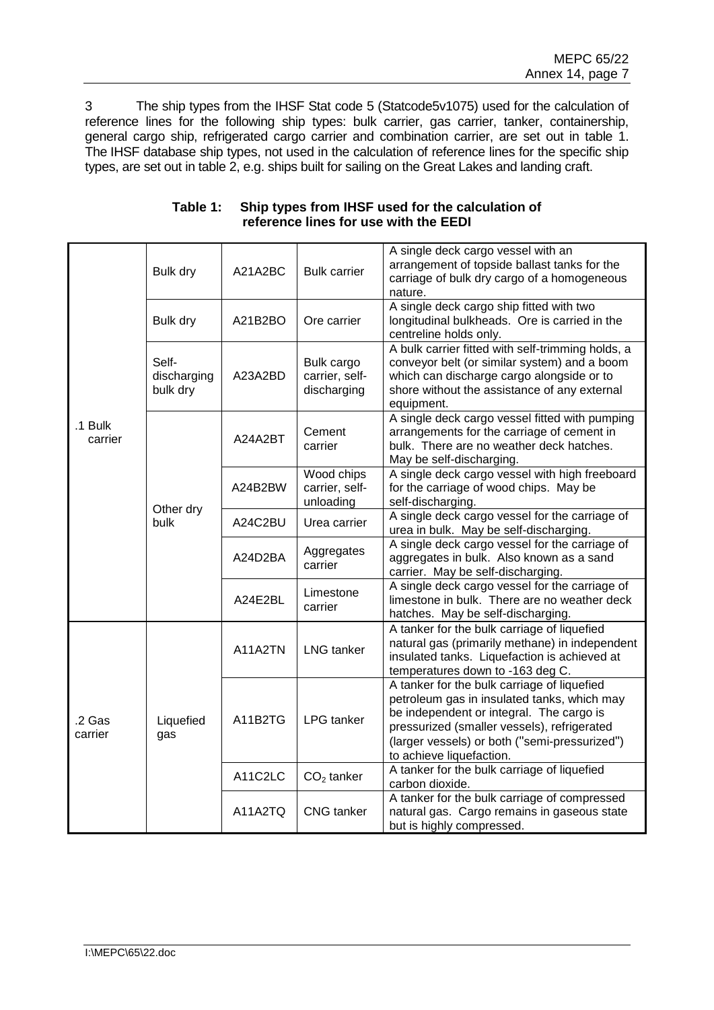3 The ship types from the IHSF Stat code 5 (Statcode5v1075) used for the calculation of reference lines for the following ship types: bulk carrier, gas carrier, tanker, containership, general cargo ship, refrigerated cargo carrier and combination carrier, are set out in table 1. The IHSF database ship types, not used in the calculation of reference lines for the specific ship types, are set out in table 2, e.g. ships built for sailing on the Great Lakes and landing craft.

|                    | Bulk dry                         | A21A2BC | <b>Bulk carrier</b>                         | A single deck cargo vessel with an<br>arrangement of topside ballast tanks for the<br>carriage of bulk dry cargo of a homogeneous<br>nature.                                                                                                                       |  |
|--------------------|----------------------------------|---------|---------------------------------------------|--------------------------------------------------------------------------------------------------------------------------------------------------------------------------------------------------------------------------------------------------------------------|--|
| .1 Bulk<br>carrier | Bulk dry                         | A21B2BO | Ore carrier                                 | A single deck cargo ship fitted with two<br>longitudinal bulkheads. Ore is carried in the<br>centreline holds only.                                                                                                                                                |  |
|                    | Self-<br>discharging<br>bulk dry | A23A2BD | Bulk cargo<br>carrier, self-<br>discharging | A bulk carrier fitted with self-trimming holds, a<br>conveyor belt (or similar system) and a boom<br>which can discharge cargo alongside or to<br>shore without the assistance of any external<br>equipment.                                                       |  |
|                    | Other dry<br>bulk                | A24A2BT | Cement<br>carrier                           | A single deck cargo vessel fitted with pumping<br>arrangements for the carriage of cement in<br>bulk. There are no weather deck hatches.<br>May be self-discharging.                                                                                               |  |
|                    |                                  | A24B2BW | Wood chips<br>carrier, self-<br>unloading   | A single deck cargo vessel with high freeboard<br>for the carriage of wood chips. May be<br>self-discharging.                                                                                                                                                      |  |
|                    |                                  | A24C2BU | Urea carrier                                | A single deck cargo vessel for the carriage of<br>urea in bulk. May be self-discharging.                                                                                                                                                                           |  |
|                    |                                  | A24D2BA | Aggregates<br>carrier                       | A single deck cargo vessel for the carriage of<br>aggregates in bulk. Also known as a sand<br>carrier. May be self-discharging.                                                                                                                                    |  |
|                    |                                  | A24E2BL | Limestone<br>carrier                        | A single deck cargo vessel for the carriage of<br>limestone in bulk. There are no weather deck<br>hatches. May be self-discharging.                                                                                                                                |  |
| .2 Gas<br>carrier  | Liquefied<br>gas                 | A11A2TN | <b>LNG</b> tanker                           | A tanker for the bulk carriage of liquefied<br>natural gas (primarily methane) in independent<br>insulated tanks. Liquefaction is achieved at<br>temperatures down to -163 deg C.                                                                                  |  |
|                    |                                  | A11B2TG | <b>LPG</b> tanker                           | A tanker for the bulk carriage of liquefied<br>petroleum gas in insulated tanks, which may<br>be independent or integral. The cargo is<br>pressurized (smaller vessels), refrigerated<br>(larger vessels) or both ("semi-pressurized")<br>to achieve liquefaction. |  |
|                    |                                  | A11C2LC | $CO2$ tanker                                | A tanker for the bulk carriage of liquefied<br>carbon dioxide.                                                                                                                                                                                                     |  |
|                    |                                  | A11A2TQ | <b>CNG</b> tanker                           | A tanker for the bulk carriage of compressed<br>natural gas. Cargo remains in gaseous state<br>but is highly compressed.                                                                                                                                           |  |

## **Table 1: Ship types from IHSF used for the calculation of reference lines for use with the EEDI**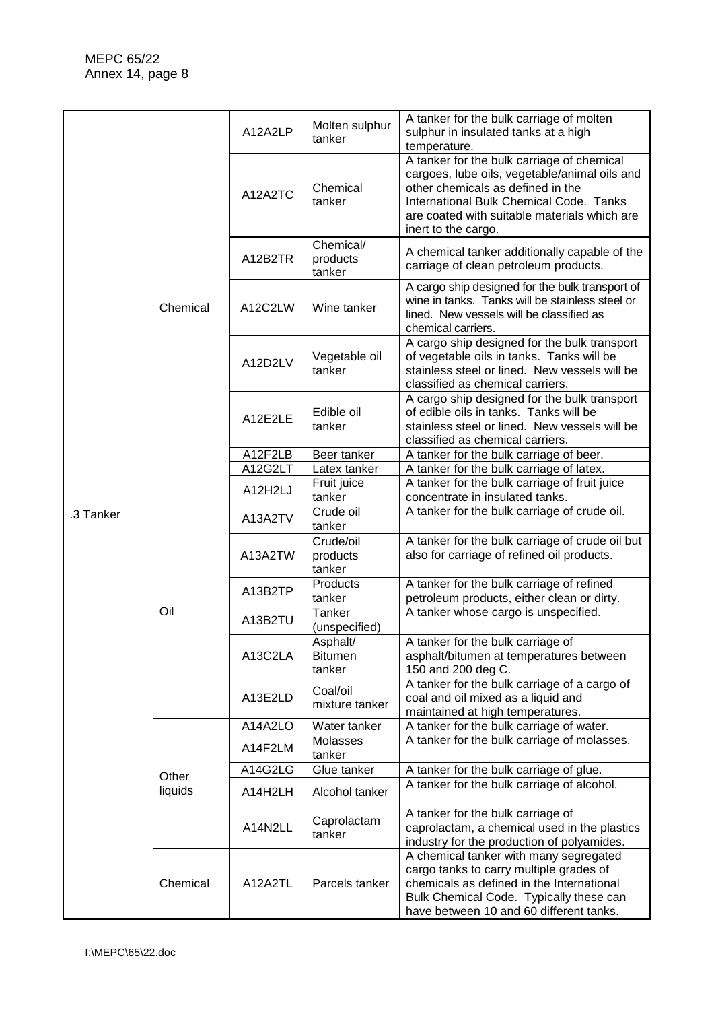|           | Chemical         | A12A2LP | Molten sulphur<br>tanker             | A tanker for the bulk carriage of molten<br>sulphur in insulated tanks at a high<br>temperature.                                                                                                                                                   |
|-----------|------------------|---------|--------------------------------------|----------------------------------------------------------------------------------------------------------------------------------------------------------------------------------------------------------------------------------------------------|
|           |                  | A12A2TC | Chemical<br>tanker                   | A tanker for the bulk carriage of chemical<br>cargoes, lube oils, vegetable/animal oils and<br>other chemicals as defined in the<br>International Bulk Chemical Code. Tanks<br>are coated with suitable materials which are<br>inert to the cargo. |
|           |                  | A12B2TR | Chemical/<br>products<br>tanker      | A chemical tanker additionally capable of the<br>carriage of clean petroleum products.                                                                                                                                                             |
|           |                  | A12C2LW | Wine tanker                          | A cargo ship designed for the bulk transport of<br>wine in tanks. Tanks will be stainless steel or<br>lined. New vessels will be classified as<br>chemical carriers.                                                                               |
|           |                  | A12D2LV | Vegetable oil<br>tanker              | A cargo ship designed for the bulk transport<br>of vegetable oils in tanks. Tanks will be<br>stainless steel or lined. New vessels will be<br>classified as chemical carriers.                                                                     |
|           |                  | A12E2LE | Edible oil<br>tanker                 | A cargo ship designed for the bulk transport<br>of edible oils in tanks. Tanks will be<br>stainless steel or lined. New vessels will be<br>classified as chemical carriers.                                                                        |
|           |                  | A12F2LB | Beer tanker                          | A tanker for the bulk carriage of beer.                                                                                                                                                                                                            |
|           |                  | A12G2LT | Latex tanker                         | A tanker for the bulk carriage of latex.                                                                                                                                                                                                           |
|           |                  | A12H2LJ | Fruit juice<br>tanker                | A tanker for the bulk carriage of fruit juice<br>concentrate in insulated tanks.                                                                                                                                                                   |
| .3 Tanker | Oil              | A13A2TV | Crude oil<br>tanker                  | A tanker for the bulk carriage of crude oil.                                                                                                                                                                                                       |
|           |                  | A13A2TW | Crude/oil<br>products<br>tanker      | A tanker for the bulk carriage of crude oil but<br>also for carriage of refined oil products.                                                                                                                                                      |
|           |                  | A13B2TP | Products<br>tanker                   | A tanker for the bulk carriage of refined<br>petroleum products, either clean or dirty.                                                                                                                                                            |
|           |                  | A13B2TU | Tanker<br>(unspecified)              | A tanker whose cargo is unspecified.                                                                                                                                                                                                               |
|           |                  | A13C2LA | Asphalt/<br><b>Bitumen</b><br>tanker | A tanker for the bulk carriage of<br>asphalt/bitumen at temperatures between<br>150 and 200 deg C.                                                                                                                                                 |
|           |                  | A13E2LD | Coal/oil<br>mixture tanker           | A tanker for the bulk carriage of a cargo of<br>coal and oil mixed as a liquid and<br>maintained at high temperatures.                                                                                                                             |
|           | Other<br>liquids | A14A2LO | Water tanker                         | A tanker for the bulk carriage of water.                                                                                                                                                                                                           |
|           |                  | A14F2LM | Molasses<br>tanker                   | A tanker for the bulk carriage of molasses.                                                                                                                                                                                                        |
|           |                  | A14G2LG | Glue tanker                          | A tanker for the bulk carriage of glue.                                                                                                                                                                                                            |
|           |                  | A14H2LH | Alcohol tanker                       | A tanker for the bulk carriage of alcohol.                                                                                                                                                                                                         |
|           |                  | A14N2LL | Caprolactam<br>tanker                | A tanker for the bulk carriage of<br>caprolactam, a chemical used in the plastics<br>industry for the production of polyamides.                                                                                                                    |
|           | Chemical         | A12A2TL | Parcels tanker                       | A chemical tanker with many segregated<br>cargo tanks to carry multiple grades of<br>chemicals as defined in the International<br>Bulk Chemical Code. Typically these can<br>have between 10 and 60 different tanks.                               |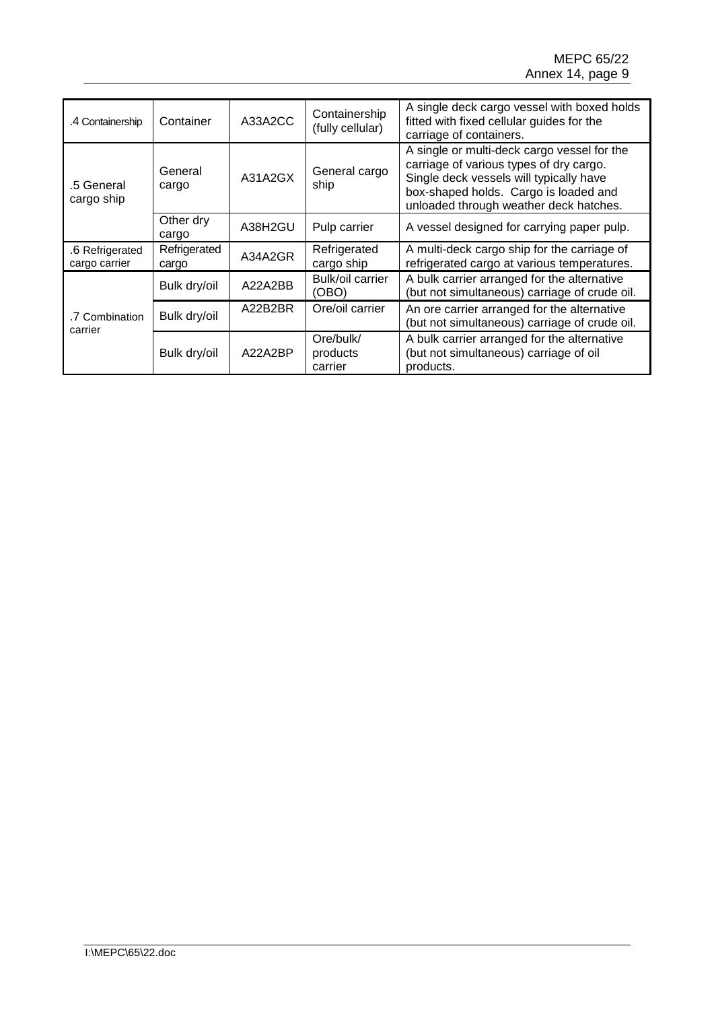| 4 Containership                  | Container             | A33A2CC | Containership<br>(fully cellular) | A single deck cargo vessel with boxed holds<br>fitted with fixed cellular guides for the<br>carriage of containers.                                                                                                  |
|----------------------------------|-----------------------|---------|-----------------------------------|----------------------------------------------------------------------------------------------------------------------------------------------------------------------------------------------------------------------|
| .5 General<br>cargo ship         | General<br>cargo      | A31A2GX | General cargo<br>ship             | A single or multi-deck cargo vessel for the<br>carriage of various types of dry cargo.<br>Single deck vessels will typically have<br>box-shaped holds. Cargo is loaded and<br>unloaded through weather deck hatches. |
|                                  | Other dry<br>cargo    | A38H2GU | Pulp carrier                      | A vessel designed for carrying paper pulp.                                                                                                                                                                           |
| .6 Refrigerated<br>cargo carrier | Refrigerated<br>cargo | A34A2GR | Refrigerated<br>cargo ship        | A multi-deck cargo ship for the carriage of<br>refrigerated cargo at various temperatures.                                                                                                                           |
| .7 Combination<br>carrier        | Bulk dry/oil          | A22A2BB | Bulk/oil carrier<br>(OBO)         | A bulk carrier arranged for the alternative<br>(but not simultaneous) carriage of crude oil.                                                                                                                         |
|                                  | Bulk dry/oil          | A22B2BR | Ore/oil carrier                   | An ore carrier arranged for the alternative<br>(but not simultaneous) carriage of crude oil.                                                                                                                         |
|                                  | Bulk dry/oil          | A22A2BP | Ore/bulk/<br>products<br>carrier  | A bulk carrier arranged for the alternative<br>(but not simultaneous) carriage of oil<br>products.                                                                                                                   |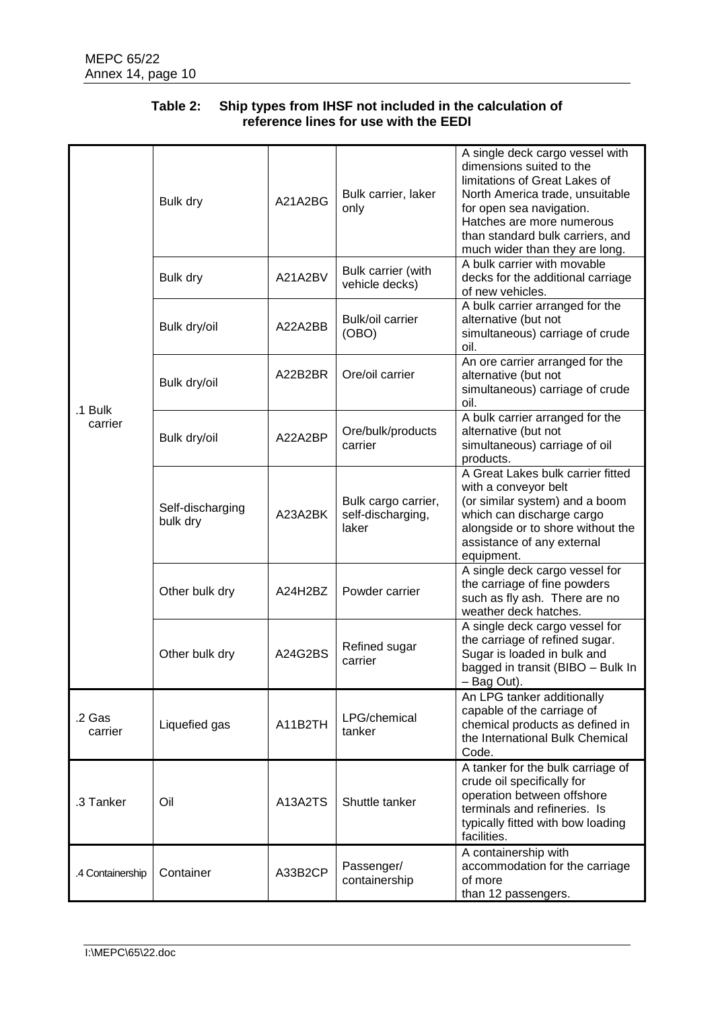| .1 Bulk<br>carrier | Bulk dry                     | A21A2BG | Bulk carrier, laker<br>only                       | A single deck cargo vessel with<br>dimensions suited to the<br>limitations of Great Lakes of<br>North America trade, unsuitable<br>for open sea navigation.<br>Hatches are more numerous<br>than standard bulk carriers, and<br>much wider than they are long. |
|--------------------|------------------------------|---------|---------------------------------------------------|----------------------------------------------------------------------------------------------------------------------------------------------------------------------------------------------------------------------------------------------------------------|
|                    | Bulk dry                     | A21A2BV | Bulk carrier (with<br>vehicle decks)              | A bulk carrier with movable<br>decks for the additional carriage<br>of new vehicles.                                                                                                                                                                           |
|                    | Bulk dry/oil                 | A22A2BB | Bulk/oil carrier<br>(OBO)                         | A bulk carrier arranged for the<br>alternative (but not<br>simultaneous) carriage of crude<br>oil.                                                                                                                                                             |
|                    | Bulk dry/oil                 | A22B2BR | Ore/oil carrier                                   | An ore carrier arranged for the<br>alternative (but not<br>simultaneous) carriage of crude<br>oil.                                                                                                                                                             |
|                    | Bulk dry/oil                 | A22A2BP | Ore/bulk/products<br>carrier                      | A bulk carrier arranged for the<br>alternative (but not<br>simultaneous) carriage of oil<br>products.                                                                                                                                                          |
|                    | Self-discharging<br>bulk dry | A23A2BK | Bulk cargo carrier,<br>self-discharging,<br>laker | A Great Lakes bulk carrier fitted<br>with a conveyor belt<br>(or similar system) and a boom<br>which can discharge cargo<br>alongside or to shore without the<br>assistance of any external<br>equipment.                                                      |
|                    | Other bulk dry               | A24H2BZ | Powder carrier                                    | A single deck cargo vessel for<br>the carriage of fine powders<br>such as fly ash. There are no<br>weather deck hatches.                                                                                                                                       |
|                    | Other bulk dry               | A24G2BS | Refined sugar<br>carrier                          | A single deck cargo vessel for<br>the carriage of refined sugar.<br>Sugar is loaded in bulk and<br>bagged in transit (BIBO - Bulk In<br>- Bag Out).                                                                                                            |
| .2 Gas<br>carrier  | Liquefied gas                | A11B2TH | LPG/chemical<br>tanker                            | An LPG tanker additionally<br>capable of the carriage of<br>chemical products as defined in<br>the International Bulk Chemical<br>Code.                                                                                                                        |
| .3 Tanker          | Oil                          | A13A2TS | Shuttle tanker                                    | A tanker for the bulk carriage of<br>crude oil specifically for<br>operation between offshore<br>terminals and refineries. Is<br>typically fitted with bow loading<br>facilities.                                                                              |
| .4 Containership   | Container                    | A33B2CP | Passenger/<br>containership                       | A containership with<br>accommodation for the carriage<br>of more<br>than 12 passengers.                                                                                                                                                                       |

# **Table 2: Ship types from IHSF not included in the calculation of reference lines for use with the EEDI**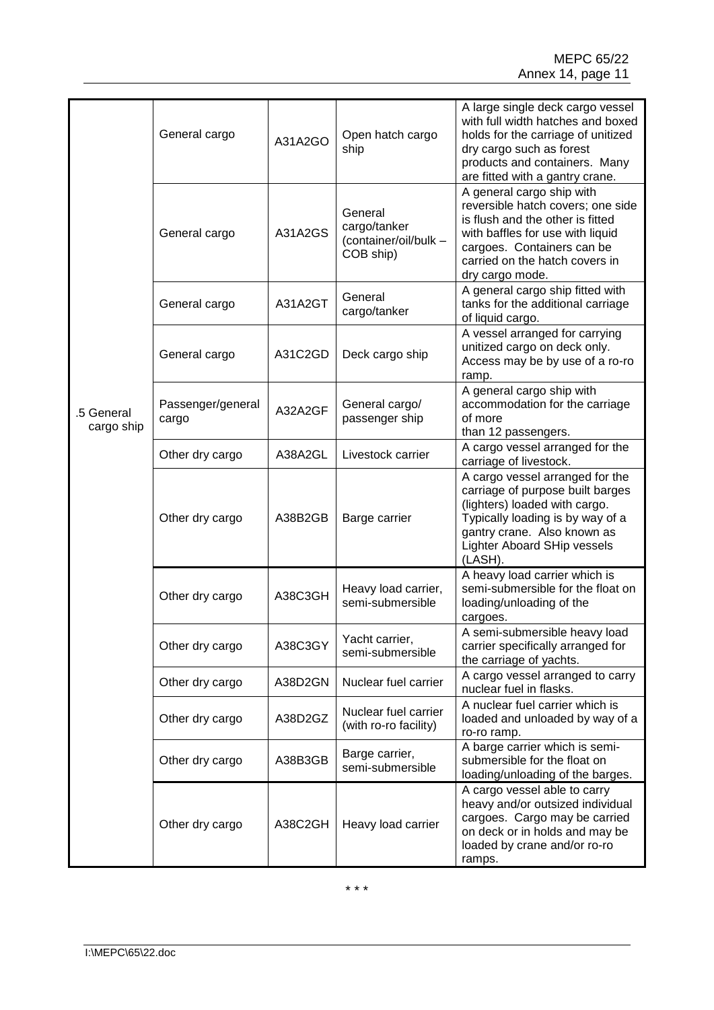| .5 General<br>cargo ship | General cargo              | A31A2GO | Open hatch cargo<br>ship                                      | A large single deck cargo vessel<br>with full width hatches and boxed<br>holds for the carriage of unitized<br>dry cargo such as forest<br>products and containers. Many<br>are fitted with a gantry crane.               |
|--------------------------|----------------------------|---------|---------------------------------------------------------------|---------------------------------------------------------------------------------------------------------------------------------------------------------------------------------------------------------------------------|
|                          | General cargo              | A31A2GS | General<br>cargo/tanker<br>(container/oil/bulk -<br>COB ship) | A general cargo ship with<br>reversible hatch covers; one side<br>is flush and the other is fitted<br>with baffles for use with liquid<br>cargoes. Containers can be<br>carried on the hatch covers in<br>dry cargo mode. |
|                          | General cargo              | A31A2GT | General<br>cargo/tanker                                       | A general cargo ship fitted with<br>tanks for the additional carriage<br>of liquid cargo.                                                                                                                                 |
|                          | General cargo              | A31C2GD | Deck cargo ship                                               | A vessel arranged for carrying<br>unitized cargo on deck only.<br>Access may be by use of a ro-ro<br>ramp.                                                                                                                |
|                          | Passenger/general<br>cargo | A32A2GF | General cargo/<br>passenger ship                              | A general cargo ship with<br>accommodation for the carriage<br>of more<br>than 12 passengers.                                                                                                                             |
|                          | Other dry cargo            | A38A2GL | Livestock carrier                                             | A cargo vessel arranged for the<br>carriage of livestock.                                                                                                                                                                 |
|                          | Other dry cargo            | A38B2GB | Barge carrier                                                 | A cargo vessel arranged for the<br>carriage of purpose built barges<br>(lighters) loaded with cargo.<br>Typically loading is by way of a<br>gantry crane. Also known as<br><b>Lighter Aboard SHip vessels</b><br>(LASH).  |
|                          | Other dry cargo            | A38C3GH | Heavy load carrier,<br>semi-submersible                       | A heavy load carrier which is<br>semi-submersible for the float on<br>loading/unloading of the<br>cargoes.                                                                                                                |
|                          | Other dry cargo            | A38C3GY | Yacht carrier,<br>semi-submersible                            | A semi-submersible heavy load<br>carrier specifically arranged for<br>the carriage of yachts.                                                                                                                             |
|                          | Other dry cargo            | A38D2GN | Nuclear fuel carrier                                          | A cargo vessel arranged to carry<br>nuclear fuel in flasks.                                                                                                                                                               |
|                          | Other dry cargo            | A38D2GZ | Nuclear fuel carrier<br>(with ro-ro facility)                 | A nuclear fuel carrier which is<br>loaded and unloaded by way of a<br>ro-ro ramp.                                                                                                                                         |
|                          | Other dry cargo            | A38B3GB | Barge carrier,<br>semi-submersible                            | A barge carrier which is semi-<br>submersible for the float on<br>loading/unloading of the barges.                                                                                                                        |
|                          | Other dry cargo            | A38C2GH | Heavy load carrier                                            | A cargo vessel able to carry<br>heavy and/or outsized individual<br>cargoes. Cargo may be carried<br>on deck or in holds and may be<br>loaded by crane and/or ro-ro<br>ramps.                                             |